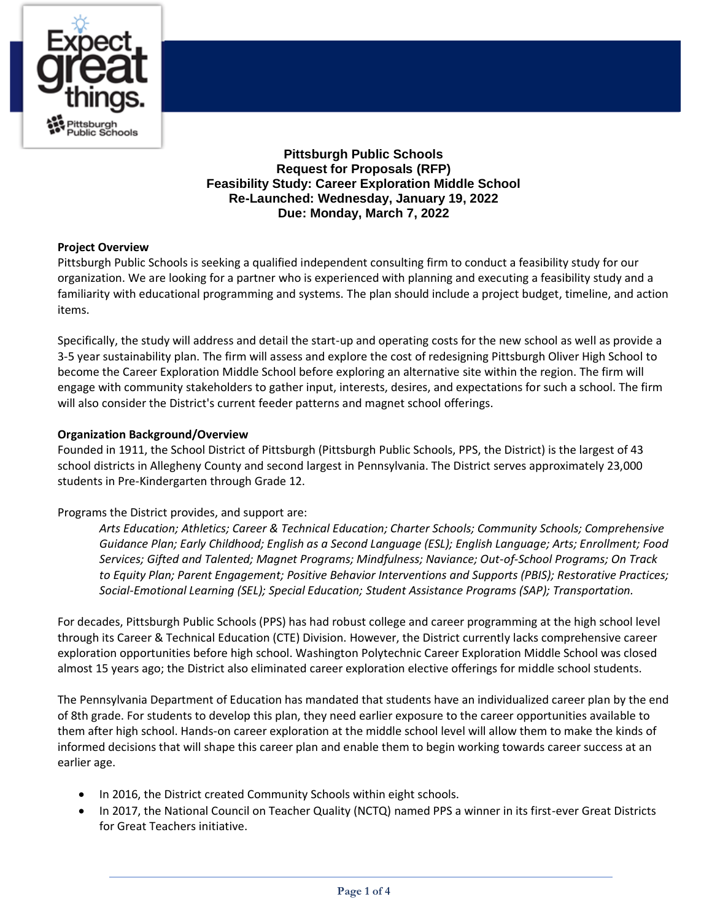

**Pittsburgh Public Schools Request for Proposals (RFP) Feasibility Study: Career Exploration Middle School Re-Launched: Wednesday, January 19, 2022 Due: Monday, March 7, 2022**

# **Project Overview**

Pittsburgh Public Schools is seeking a qualified independent consulting firm to conduct a feasibility study for our organization. We are looking for a partner who is experienced with planning and executing a feasibility study and a familiarity with educational programming and systems. The plan should include a project budget, timeline, and action items.

Specifically, the study will address and detail the start-up and operating costs for the new school as well as provide a 3-5 year sustainability plan. The firm will assess and explore the cost of redesigning Pittsburgh Oliver High School to become the Career Exploration Middle School before exploring an alternative site within the region. The firm will engage with community stakeholders to gather input, interests, desires, and expectations for such a school. The firm will also consider the District's current feeder patterns and magnet school offerings.

# **Organization Background/Overview**

Founded in 1911, the School District of Pittsburgh (Pittsburgh Public Schools, PPS, the District) is the largest of 43 school districts in Allegheny County and second largest in Pennsylvania. The District serves approximately 23,000 students in Pre-Kindergarten through Grade 12.

# Programs the District provides, and support are:

*Arts Education; Athletics; Career & Technical Education; Charter Schools; Community Schools; Comprehensive Guidance Plan; Early Childhood; English as a Second Language (ESL); English Language; Arts; Enrollment; Food Services; Gifted and Talented; Magnet Programs; Mindfulness; Naviance; Out-of-School Programs; On Track to Equity Plan; Parent Engagement; Positive Behavior Interventions and Supports (PBIS); Restorative Practices; Social-Emotional Learning (SEL); Special Education; Student Assistance Programs (SAP); Transportation.* 

For decades, Pittsburgh Public Schools (PPS) has had robust college and career programming at the high school level through its Career & Technical Education (CTE) Division. However, the District currently lacks comprehensive career exploration opportunities before high school. Washington Polytechnic Career Exploration Middle School was closed almost 15 years ago; the District also eliminated career exploration elective offerings for middle school students.

The Pennsylvania Department of Education has mandated that students have an individualized career plan by the end of 8th grade. For students to develop this plan, they need earlier exposure to the career opportunities available to them after high school. Hands-on career exploration at the middle school level will allow them to make the kinds of informed decisions that will shape this career plan and enable them to begin working towards career success at an earlier age.

- In 2016, the District created Community Schools within eight schools.
- In 2017, the National Council on Teacher Quality (NCTQ) named PPS a winner in its first-ever Great Districts for Great Teachers initiative.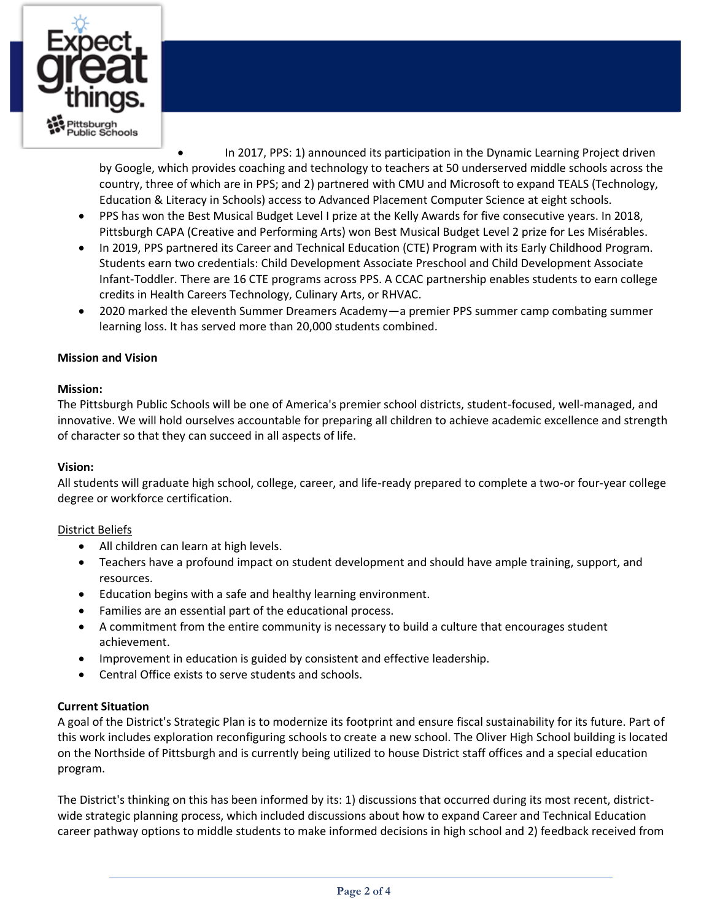

• In 2017, PPS: 1) announced its participation in the Dynamic Learning Project driven by Google, which provides coaching and technology to teachers at 50 underserved middle schools across the country, three of which are in PPS; and 2) partnered with CMU and Microsoft to expand TEALS (Technology, Education & Literacy in Schools) access to Advanced Placement Computer Science at eight schools.

- PPS has won the Best Musical Budget Level I prize at the Kelly Awards for five consecutive years. In 2018, Pittsburgh CAPA (Creative and Performing Arts) won Best Musical Budget Level 2 prize for Les Misérables.
- In 2019, PPS partnered its Career and Technical Education (CTE) Program with its Early Childhood Program. Students earn two credentials: Child Development Associate Preschool and Child Development Associate Infant-Toddler. There are 16 CTE programs across PPS. A CCAC partnership enables students to earn college credits in Health Careers Technology, Culinary Arts, or RHVAC.
- 2020 marked the eleventh Summer Dreamers Academy—a premier PPS summer camp combating summer learning loss. It has served more than 20,000 students combined.

# **Mission and Vision**

# **Mission:**

The Pittsburgh Public Schools will be one of America's premier school districts, student-focused, well-managed, and innovative. We will hold ourselves accountable for preparing all children to achieve academic excellence and strength of character so that they can succeed in all aspects of life.

### **Vision:**

All students will graduate high school, college, career, and life-ready prepared to complete a two-or four-year college degree or workforce certification.

#### District Beliefs

- All children can learn at high levels.
- Teachers have a profound impact on student development and should have ample training, support, and resources.
- Education begins with a safe and healthy learning environment.
- Families are an essential part of the educational process.
- A commitment from the entire community is necessary to build a culture that encourages student achievement.
- Improvement in education is guided by consistent and effective leadership.
- Central Office exists to serve students and schools.

# **Current Situation**

A goal of the District's Strategic Plan is to modernize its footprint and ensure fiscal sustainability for its future. Part of this work includes exploration reconfiguring schools to create a new school. The Oliver High School building is located on the Northside of Pittsburgh and is currently being utilized to house District staff offices and a special education program.

The District's thinking on this has been informed by its: 1) discussions that occurred during its most recent, districtwide strategic planning process, which included discussions about how to expand Career and Technical Education career pathway options to middle students to make informed decisions in high school and 2) feedback received from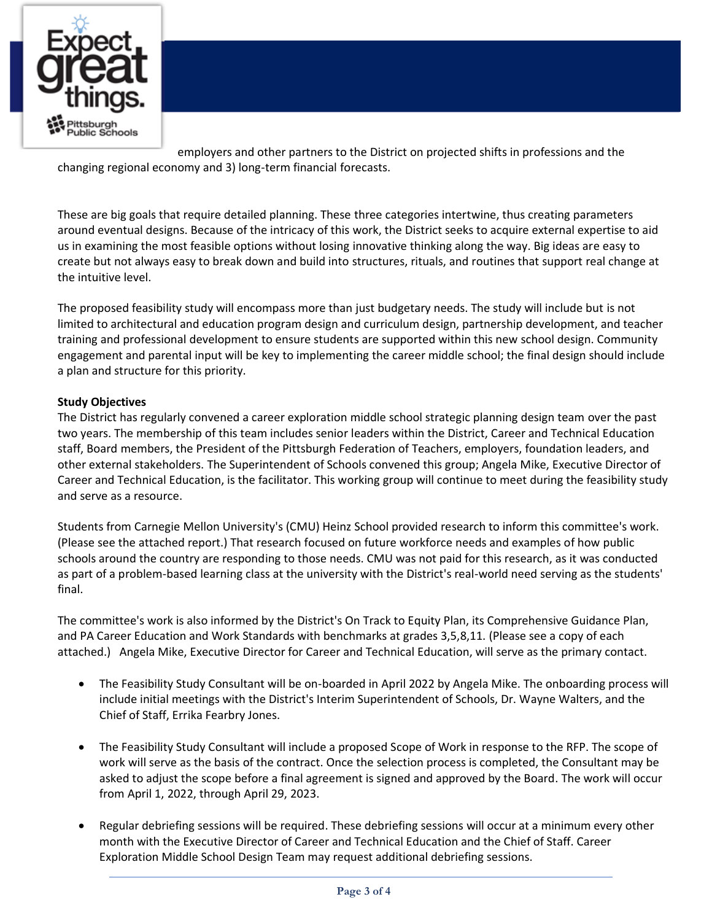

employers and other partners to the District on projected shifts in professions and the changing regional economy and 3) long-term financial forecasts.

These are big goals that require detailed planning. These three categories intertwine, thus creating parameters around eventual designs. Because of the intricacy of this work, the District seeks to acquire external expertise to aid us in examining the most feasible options without losing innovative thinking along the way. Big ideas are easy to create but not always easy to break down and build into structures, rituals, and routines that support real change at the intuitive level.

The proposed feasibility study will encompass more than just budgetary needs. The study will include but is not limited to architectural and education program design and curriculum design, partnership development, and teacher training and professional development to ensure students are supported within this new school design. Community engagement and parental input will be key to implementing the career middle school; the final design should include a plan and structure for this priority.

# **Study Objectives**

The District has regularly convened a career exploration middle school strategic planning design team over the past two years. The membership of this team includes senior leaders within the District, Career and Technical Education staff, Board members, the President of the Pittsburgh Federation of Teachers, employers, foundation leaders, and other external stakeholders. The Superintendent of Schools convened this group; Angela Mike, Executive Director of Career and Technical Education, is the facilitator. This working group will continue to meet during the feasibility study and serve as a resource.

Students from Carnegie Mellon University's (CMU) Heinz School provided research to inform this committee's work. (Please see the attached report.) That research focused on future workforce needs and examples of how public schools around the country are responding to those needs. CMU was not paid for this research, as it was conducted as part of a problem-based learning class at the university with the District's real-world need serving as the students' final.

The committee's work is also informed by the District's On Track to Equity Plan, its Comprehensive Guidance Plan, and PA Career Education and Work Standards with benchmarks at grades 3,5,8,11. (Please see a copy of each attached.) Angela Mike, Executive Director for Career and Technical Education, will serve as the primary contact.

- The Feasibility Study Consultant will be on-boarded in April 2022 by Angela Mike. The onboarding process will include initial meetings with the District's Interim Superintendent of Schools, Dr. Wayne Walters, and the Chief of Staff, Errika Fearbry Jones.
- The Feasibility Study Consultant will include a proposed Scope of Work in response to the RFP. The scope of work will serve as the basis of the contract. Once the selection process is completed, the Consultant may be asked to adjust the scope before a final agreement is signed and approved by the Board. The work will occur from April 1, 2022, through April 29, 2023.
- Regular debriefing sessions will be required. These debriefing sessions will occur at a minimum every other month with the Executive Director of Career and Technical Education and the Chief of Staff. Career Exploration Middle School Design Team may request additional debriefing sessions.